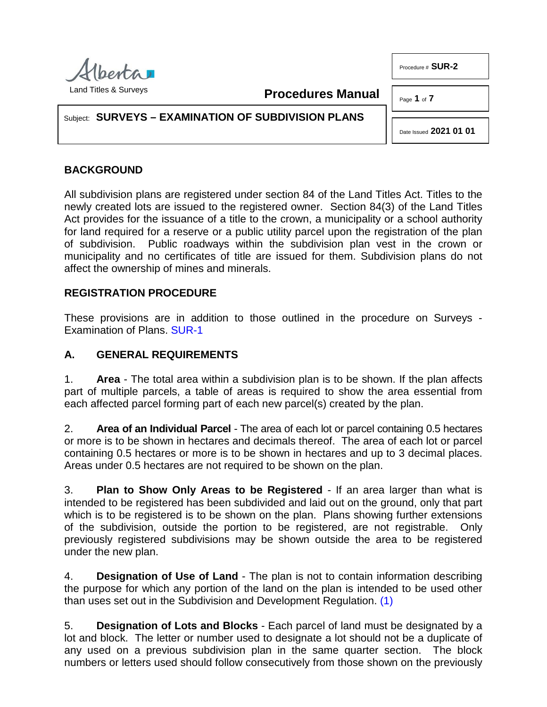

**Procedures Manual**

Page **1** of **7**

Procedure # **SUR-2**

Subject: **SURVEYS – EXAMINATION OF SUBDIVISION PLANS**

Date Issued **2021 01 01**

# **BACKGROUND**

All subdivision plans are registered under section 84 of the Land Titles Act. Titles to the newly created lots are issued to the registered owner. Section 84(3) of the Land Titles Act provides for the issuance of a title to the crown, a municipality or a school authority for land required for a reserve or a public utility parcel upon the registration of the plan of subdivision. Public roadways within the subdivision plan vest in the crown or municipality and no certificates of title are issued for them. Subdivision plans do not affect the ownership of mines and minerals.

## **REGISTRATION PROCEDURE**

These provisions are in addition to those outlined in the procedure on Surveys - Examination of Plans. [SUR-1](http://www.servicealberta.ca/pdf/ltmanual/SUR-1.PDF)

## **A. GENERAL REQUIREMENTS**

1. **Area** - The total area within a subdivision plan is to be shown. If the plan affects part of multiple parcels, a table of areas is required to show the area essential from each affected parcel forming part of each new parcel(s) created by the plan.

2. **Area of an Individual Parcel** - The area of each lot or parcel containing 0.5 hectares or more is to be shown in hectares and decimals thereof. The area of each lot or parcel containing 0.5 hectares or more is to be shown in hectares and up to 3 decimal places. Areas under 0.5 hectares are not required to be shown on the plan.

3. **Plan to Show Only Areas to be Registered** - If an area larger than what is intended to be registered has been subdivided and laid out on the ground, only that part which is to be registered is to be shown on the plan. Plans showing further extensions of the subdivision, outside the portion to be registered, are not registrable. Only previously registered subdivisions may be shown outside the area to be registered under the new plan.

<span id="page-0-0"></span>4. **Designation of Use of Land** - The plan is not to contain information describing the purpose for which any portion of the land on the plan is intended to be used other than uses set out in the Subdivision and Development Regulation. [\(1\)](#page-6-0)

5. **Designation of Lots and Blocks** - Each parcel of land must be designated by a lot and block. The letter or number used to designate a lot should not be a duplicate of any used on a previous subdivision plan in the same quarter section. The block numbers or letters used should follow consecutively from those shown on the previously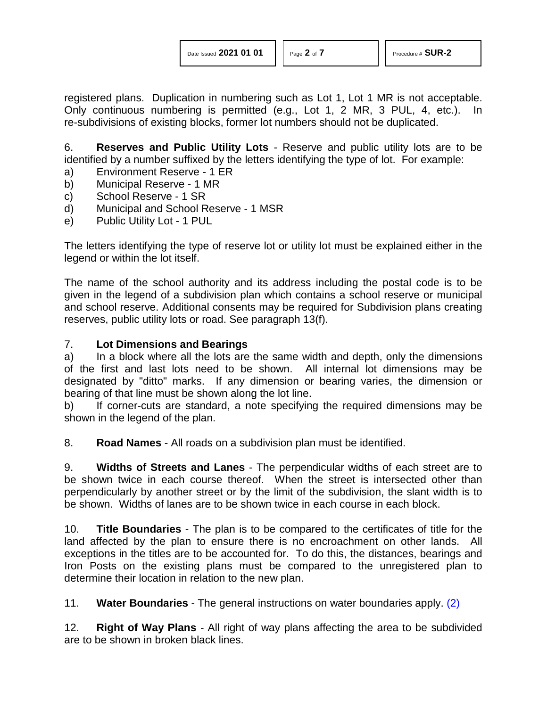registered plans. Duplication in numbering such as Lot 1, Lot 1 MR is not acceptable. Only continuous numbering is permitted (e.g., Lot 1, 2 MR, 3 PUL, 4, etc.). In re-subdivisions of existing blocks, former lot numbers should not be duplicated.

6. **Reserves and Public Utility Lots** - Reserve and public utility lots are to be identified by a number suffixed by the letters identifying the type of lot. For example:

- a) Environment Reserve 1 ER
- b) Municipal Reserve 1 MR
- c) School Reserve 1 SR
- d) Municipal and School Reserve 1 MSR
- e) Public Utility Lot 1 PUL

The letters identifying the type of reserve lot or utility lot must be explained either in the legend or within the lot itself.

The name of the school authority and its address including the postal code is to be given in the legend of a subdivision plan which contains a school reserve or municipal and school reserve. Additional consents may be required for Subdivision plans creating reserves, public utility lots or road. See paragraph 13(f).

### 7. **Lot Dimensions and Bearings**

a) In a block where all the lots are the same width and depth, only the dimensions of the first and last lots need to be shown. All internal lot dimensions may be designated by "ditto" marks. If any dimension or bearing varies, the dimension or bearing of that line must be shown along the lot line.

b) If corner-cuts are standard, a note specifying the required dimensions may be shown in the legend of the plan.

8. **Road Names** - All roads on a subdivision plan must be identified.

9. **Widths of Streets and Lanes** - The perpendicular widths of each street are to be shown twice in each course thereof. When the street is intersected other than perpendicularly by another street or by the limit of the subdivision, the slant width is to be shown. Widths of lanes are to be shown twice in each course in each block.

10. **Title Boundaries** - The plan is to be compared to the certificates of title for the land affected by the plan to ensure there is no encroachment on other lands. All exceptions in the titles are to be accounted for. To do this, the distances, bearings and Iron Posts on the existing plans must be compared to the unregistered plan to determine their location in relation to the new plan.

<span id="page-1-0"></span>11. **Water Boundaries** - The general instructions on water boundaries apply. [\(2\)](#page-6-1)

12. **Right of Way Plans** - All right of way plans affecting the area to be subdivided are to be shown in broken black lines.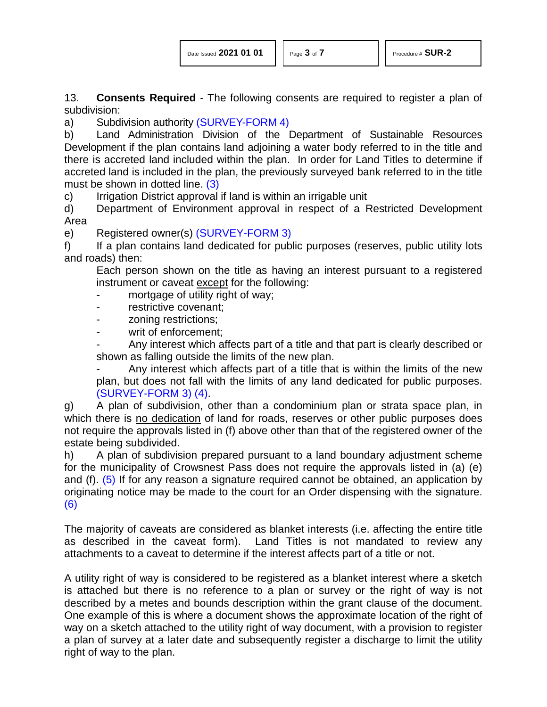13. **Consents Required** - The following consents are required to register a plan of subdivision:

a) Subdivision authority [\(SURVEY-FORM 4\)](http://www.servicealberta.ca/pdf/ltmanual/SURVEY-FORM4.pdf)

b) Land Administration Division of the Department of Sustainable Resources Development if the plan contains land adjoining a water body referred to in the title and there is accreted land included within the plan. In order for Land Titles to determine if accreted land is included in the plan, the previously surveyed bank referred to in the title must be shown in dotted line. [\(3\)](#page-6-2)

<span id="page-2-0"></span>c) Irrigation District approval if land is within an irrigable unit

d) Department of Environment approval in respect of a Restricted Development Area

e) Registered owner(s) [\(SURVEY-FORM 3\)](http://www.servicealberta.ca/pdf/ltmanual/survey-form3.pdf)

f) If a plan contains land dedicated for public purposes (reserves, public utility lots and roads) then:

Each person shown on the title as having an interest pursuant to a registered instrument or caveat except for the following:

- mortgage of utility right of way;
- restrictive covenant;
- zoning restrictions;
- writ of enforcement;

Any interest which affects part of a title and that part is clearly described or shown as falling outside the limits of the new plan.

<span id="page-2-1"></span>Any interest which affects part of a title that is within the limits of the new plan, but does not fall with the limits of any land dedicated for public purposes. [\(SURVEY-FORM 3\)](http://www.servicealberta.ca/pdf/ltmanual/SURVEY-FORM3.pdf) [\(4\).](#page-6-3)

g) A plan of subdivision, other than a condominium plan or strata space plan, in which there is no dedication of land for roads, reserves or other public purposes does not require the approvals listed in (f) above other than that of the registered owner of the estate being subdivided.

h) A plan of subdivision prepared pursuant to a land boundary adjustment scheme for the municipality of Crowsnest Pass does not require the approvals listed in (a) (e) and (f). [\(5\)](#page-6-4) If for any reason a signature required cannot be obtained, an application by originating notice may be made to the court for an Order dispensing with the signature. [\(6\)](#page-6-5)

The majority of caveats are considered as blanket interests (i.e. affecting the entire title as described in the caveat form). Land Titles is not mandated to review any attachments to a caveat to determine if the interest affects part of a title or not.

A utility right of way is considered to be registered as a blanket interest where a sketch is attached but there is no reference to a plan or survey or the right of way is not described by a metes and bounds description within the grant clause of the document. One example of this is where a document shows the approximate location of the right of way on a sketch attached to the utility right of way document, with a provision to register a plan of survey at a later date and subsequently register a discharge to limit the utility right of way to the plan.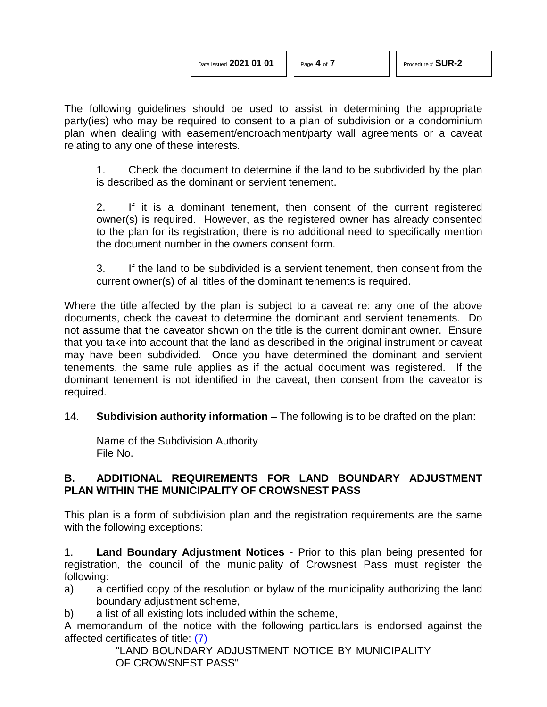The following guidelines should be used to assist in determining the appropriate party(ies) who may be required to consent to a plan of subdivision or a condominium plan when dealing with easement/encroachment/party wall agreements or a caveat relating to any one of these interests.

1. Check the document to determine if the land to be subdivided by the plan is described as the dominant or servient tenement.

2. If it is a dominant tenement, then consent of the current registered owner(s) is required. However, as the registered owner has already consented to the plan for its registration, there is no additional need to specifically mention the document number in the owners consent form.

3. If the land to be subdivided is a servient tenement, then consent from the current owner(s) of all titles of the dominant tenements is required.

Where the title affected by the plan is subject to a caveat re: any one of the above documents, check the caveat to determine the dominant and servient tenements. Do not assume that the caveator shown on the title is the current dominant owner. Ensure that you take into account that the land as described in the original instrument or caveat may have been subdivided. Once you have determined the dominant and servient tenements, the same rule applies as if the actual document was registered. If the dominant tenement is not identified in the caveat, then consent from the caveator is required.

14. **Subdivision authority information** – The following is to be drafted on the plan:

Name of the Subdivision Authority File No.

#### **B. ADDITIONAL REQUIREMENTS FOR LAND BOUNDARY ADJUSTMENT PLAN WITHIN THE MUNICIPALITY OF CROWSNEST PASS**

This plan is a form of subdivision plan and the registration requirements are the same with the following exceptions:

1. **Land Boundary Adjustment Notices** - Prior to this plan being presented for registration, the council of the municipality of Crowsnest Pass must register the following:

- a) a certified copy of the resolution or bylaw of the municipality authorizing the land boundary adjustment scheme,
- b) a list of all existing lots included within the scheme,

A memorandum of the notice with the following particulars is endorsed against the affected certificates of title: [\(7\)](#page-6-6)

<span id="page-3-0"></span>"LAND BOUNDARY ADJUSTMENT NOTICE BY MUNICIPALITY OF CROWSNEST PASS"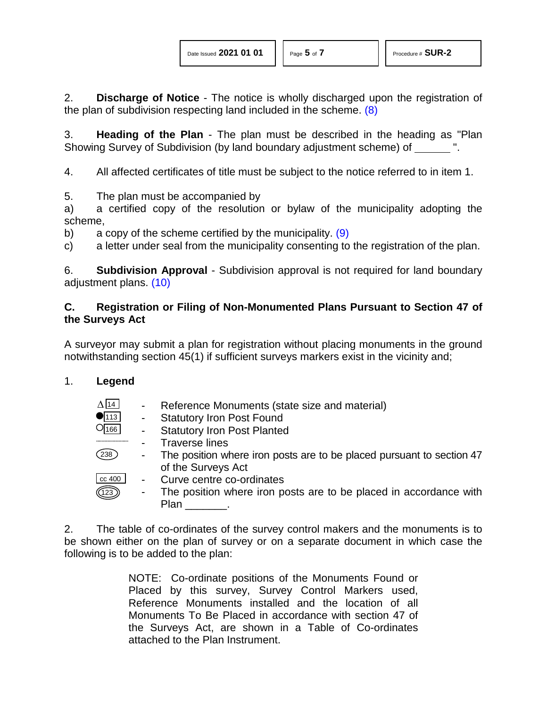<span id="page-4-0"></span>2. **Discharge of Notice** - The notice is wholly discharged upon the registration of the plan of subdivision respecting land included in the scheme. [\(8\)](#page-6-7)

3. **Heading of the Plan** - The plan must be described in the heading as "Plan Showing Survey of Subdivision (by land boundary adjustment scheme) of ".

4. All affected certificates of title must be subject to the notice referred to in item 1.

5. The plan must be accompanied by

a) a certified copy of the resolution or bylaw of the municipality adopting the scheme,

<span id="page-4-1"></span>b) a copy of the scheme certified by the municipality.  $(9)$ 

c) a letter under seal from the municipality consenting to the registration of the plan.

<span id="page-4-2"></span>6. **Subdivision Approval** - Subdivision approval is not required for land boundary adjustment plans. [\(10\)](#page-6-9)

### **C. Registration or Filing of Non-Monumented Plans Pursuant to Section 47 of the Surveys Act**

A surveyor may submit a plan for registration without placing monuments in the ground notwithstanding section 45(1) if sufficient surveys markers exist in the vicinity and;

### 1. **Legend**

- Reference Monuments (state size and material)  $\Delta$  14
- Statutory Iron Post Found  $\bullet$ <sub>113</sub>
- Statutory Iron Post Planted  $O_{166}$ 
	- Traverse lines
- The position where iron posts are to be placed pursuant to section 47 of the Surveys Act  $(238)$
- Curve centre co-ordinates cc 400
- The position where iron posts are to be placed in accordance with Plan . 123

2. The table of co-ordinates of the survey control makers and the monuments is to be shown either on the plan of survey or on a separate document in which case the following is to be added to the plan:

> NOTE: Co-ordinate positions of the Monuments Found or Placed by this survey, Survey Control Markers used, Reference Monuments installed and the location of all Monuments To Be Placed in accordance with section 47 of the Surveys Act, are shown in a Table of Co-ordinates attached to the Plan Instrument.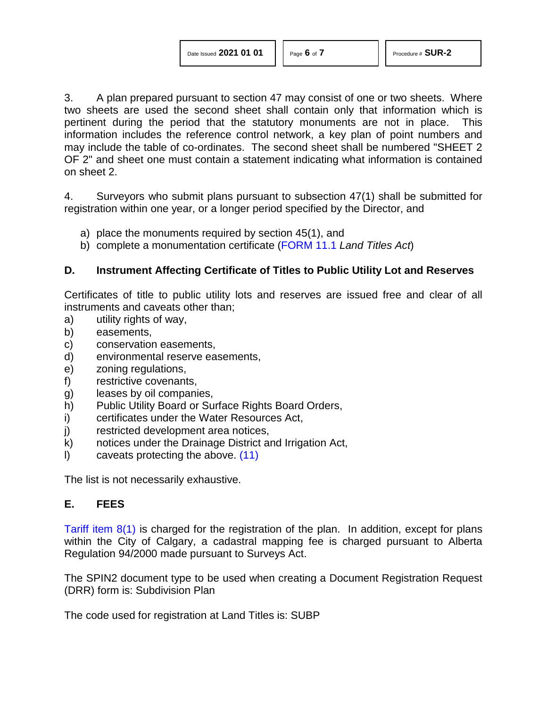3. A plan prepared pursuant to section 47 may consist of one or two sheets. Where two sheets are used the second sheet shall contain only that information which is pertinent during the period that the statutory monuments are not in place. This information includes the reference control network, a key plan of point numbers and may include the table of co-ordinates. The second sheet shall be numbered "SHEET 2 OF 2" and sheet one must contain a statement indicating what information is contained on sheet 2.

4. Surveyors who submit plans pursuant to subsection 47(1) shall be submitted for registration within one year, or a longer period specified by the Director, and

- a) place the monuments required by section 45(1), and
- b) complete a monumentation certificate [\(FORM 11.1](http://www.servicealberta.ca/pdf/ltmanual/FORM11.1.pdf) *Land Titles Act*)

### **D. Instrument Affecting Certificate of Titles to Public Utility Lot and Reserves**

Certificates of title to public utility lots and reserves are issued free and clear of all instruments and caveats other than;

- a) utility rights of way,
- b) easements,
- c) conservation easements,
- d) environmental reserve easements,
- e) zoning regulations,
- f) restrictive covenants,
- g) leases by oil companies,
- h) Public Utility Board or Surface Rights Board Orders,
- i) certificates under the Water Resources Act,
- j) restricted development area notices,
- k) notices under the Drainage District and Irrigation Act,
- l) caveats protecting the above. [\(11\)](#page-6-10)

The list is not necessarily exhaustive.

### **E. FEES**

[Tariff item 8\(1\)](http://www.servicealberta.ca/pdf/ltmanual/APPENDIXI.pdf) is charged for the registration of the plan. In addition, except for plans within the City of Calgary, a cadastral mapping fee is charged pursuant to Alberta Regulation 94/2000 made pursuant to Surveys Act.

The SPIN2 document type to be used when creating a Document Registration Request (DRR) form is: Subdivision Plan

The code used for registration at Land Titles is: SUBP